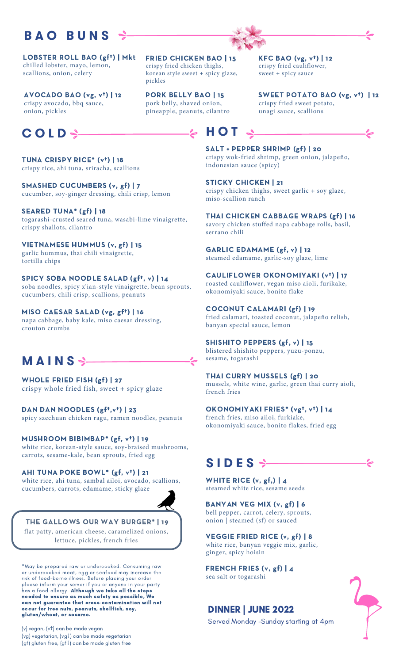## **B A O B U N S**

LOBSTER ROLL BAO (gf†) | Mkt chilled lobster, mayo, lemon, scallions, onion, celery

AVOCADO BAO (vg, v†) | 12 crispy avocado, bbq sauce, onion, pickles

## **C O L D H O T**

TUNA CRISPY RICE\* (v†) | 18 crispy rice, ahi tuna, sriracha, scallions

SMASHED CUCUMBERS (v, gf) | 7 cucumber, soy-ginger dressing, chili crisp, lemon

SEARED TUNA\* (gf) | 18 togarashi-crusted seared tuna, wasabi-lime vinaigrette, crispy shallots, cilantro

VIETNAMESE HUMMUS (v, gf) | 15 garlic hummus, thai chili vinaigrette, tortilla chips

SPICY SOBA NOODLE SALAD (gft, v) | 14 soba noodles, spicy x'ian-style vinaigrette, bean sprouts, cucumbers, chili crisp, scallions, peanuts

MISO CAESAR SALAD (vg, gf†) | 16 napa cabbage, baby kale, miso caesar dressing, crouton crumbs

# **M A I N S**

WHOLE FRIED FISH (gf) | 27 crispy whole fried fish, sweet + spicy glaze

DAN DAN NOODLES (gf<sup>t</sup>, v<sup>t</sup>) | 23 spicy szechuan chicken ragu, ramen noodles, peanuts

MUSHROOM BIBIMBAP\* (gf, v†) | 19 white rice, korean-style sauce, soy-braised mushrooms, carrots, sesame-kale, bean sprouts, fried egg

AHI TUNA POKE BOWL\* (gf, v†) | 21 white rice, ahi tuna, sambal ailoi, avocado, scallions, cucumbers, carrots, edamame, sticky glaze



THE GALLOWS OUR WAY BURGER\* | 19 flat patty, american cheese, caramelized onions, lettuce, pickles, french fries

\*May be prepared raw or undercooked. Consuming raw or undercooked meat, egg or seafood may increase the risk of food-borne illness. Before placing your order please inform your server if you or anyone in your party has a food allergy. **Although we take all the steps** needed to ensure as much safety as possible, We can not guarantee that cross-contamination will not occur for tree nuts, peanuts, shellfish, soy, gluten/wheat, or sesame.

(v) vegan, (v†) can be made vegan (vg) vegetarian, (vg†) can be made vegetarian (gf) gluten free, (gf†) can be made gluten free FRIED CHICKEN BAO | 15 crispy fried chicken thighs, korean style sweet + spicy glaze, pickles

PORK BELLY BAO | 15 pork belly, shaved onion, pineapple, peanuts, cilantro

KFC BAO (vg, v†) | 12 crispy fried cauliflower, sweet + spicy sauce

SWEET POTATO BAO (vg, v<sup>t</sup>) | 12 crispy fried sweet potato, unagi sauce, scallions



SALT + PEPPER SHRIMP (gf) | 20 crispy wok-fried shrimp, green onion, jalapeño, indonesian sauce (spicy)

STICKY CHICKEN | 21 crispy chicken thighs, sweet garlic + soy glaze, miso-scallion ranch

THAI CHICKEN CABBAGE WRAPS (gf) | 16 savory chicken stuffed napa cabbage rolls, basil, serrano chili

GARLIC EDAMAME (gf, v) | 12 steamed edamame, garlic-soy glaze, lime

CAULIFLOWER OKONOMIYAKI (v†) | 17 roasted cauliflower, vegan miso aioli, furikake, okonomiyaki sauce, bonito flake

COCONUT CALAMARI (gf) | 19 fried calamari, toasted coconut, jalapeño relish, banyan special sauce, lemon

SHISHITO PEPPERS (gf, v) | 15 blistered shishito peppers, yuzu-ponzu, sesame, togarashi

THAI CURRY MUSSELS (gf) | 20 mussels, white wine, garlic, green thai curry aioli, french fries

OKONOMIYAKI FRIES\* (vg†, v†) | 14 french fries, miso ailoi, furkiake, okonomiyaki sauce, bonito flakes, fried egg

# **S I D E S**

WHITE RICE  $(v, gf, ) | 4$ steamed white rice, sesame seeds

BANYAN VEG MIX (v, gf) | 6 bell pepper, carrot, celery, sprouts, onion | steamed (sf) or sauced

VEGGIE FRIED RICE (v, gf) | 8 white rice, banyan veggie mix, garlic, ginger, spicy hoisin

FRENCH FRIES (v, gf) | 4 sea salt or togarashi

### DINNER | JUNE 2022

Served Monday -Sunday starting at 4pm